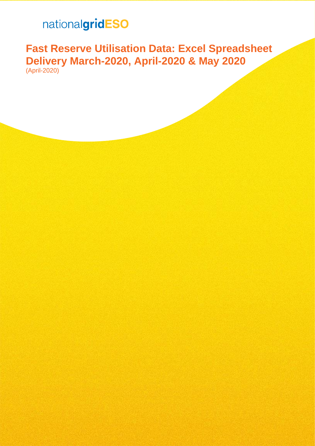# nationalgridESO

# **Fast Reserve Utilisation Data: Excel Spreadsheet Delivery March-2020, April-2020 & May 2020** (April-2020)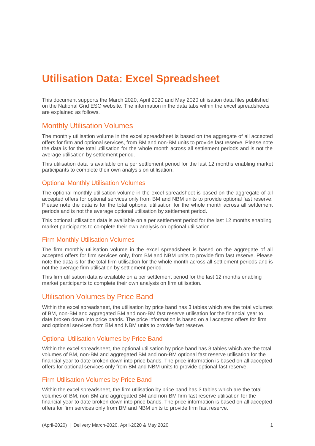# **Utilisation Data: Excel Spreadsheet**

This document supports the March 2020, April 2020 and May 2020 utilisation data files published on the National Grid ESO website. The information in the data tabs within the excel spreadsheets are explained as follows.

### Monthly Utilisation Volumes

The monthly utilisation volume in the excel spreadsheet is based on the aggregate of all accepted offers for firm and optional services, from BM and non-BM units to provide fast reserve. Please note the data is for the total utilisation for the whole month across all settlement periods and is not the average utilisation by settlement period.

This utilisation data is available on a per settlement period for the last 12 months enabling market participants to complete their own analysis on utilisation.

#### Optional Monthly Utilisation Volumes

The optional monthly utilisation volume in the excel spreadsheet is based on the aggregate of all accepted offers for optional services only from BM and NBM units to provide optional fast reserve. Please note the data is for the total optional utilisation for the whole month across all settlement periods and is not the average optional utilisation by settlement period.

This optional utilisation data is available on a per settlement period for the last 12 months enabling market participants to complete their own analysis on optional utilisation.

#### Firm Monthly Utilisation Volumes

The firm monthly utilisation volume in the excel spreadsheet is based on the aggregate of all accepted offers for firm services only, from BM and NBM units to provide firm fast reserve. Please note the data is for the total firm utilisation for the whole month across all settlement periods and is not the average firm utilisation by settlement period.

This firm utilisation data is available on a per settlement period for the last 12 months enabling market participants to complete their own analysis on firm utilisation.

#### Utilisation Volumes by Price Band

Within the excel spreadsheet, the utilisation by price band has 3 tables which are the total volumes of BM, non-BM and aggregated BM and non-BM fast reserve utilisation for the financial year to date broken down into price bands. The price information is based on all accepted offers for firm and optional services from BM and NBM units to provide fast reserve.

#### Optional Utilisation Volumes by Price Band

Within the excel spreadsheet, the optional utilisation by price band has 3 tables which are the total volumes of BM, non-BM and aggregated BM and non-BM optional fast reserve utilisation for the financial year to date broken down into price bands. The price information is based on all accepted offers for optional services only from BM and NBM units to provide optional fast reserve.

#### Firm Utilisation Volumes by Price Band

Within the excel spreadsheet, the firm utilisation by price band has 3 tables which are the total volumes of BM, non-BM and aggregated BM and non-BM firm fast reserve utilisation for the financial year to date broken down into price bands. The price information is based on all accepted offers for firm services only from BM and NBM units to provide firm fast reserve.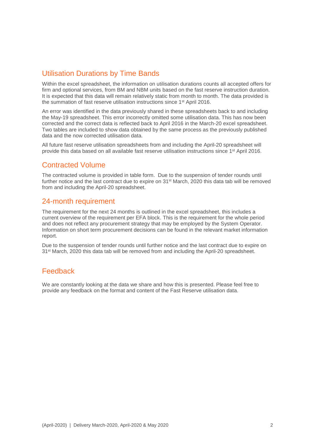# Utilisation Durations by Time Bands

Within the excel spreadsheet, the information on utilisation durations counts all accepted offers for firm and optional services, from BM and NBM units based on the fast reserve instruction duration. It is expected that this data will remain relatively static from month to month. The data provided is the summation of fast reserve utilisation instructions since 1<sup>st</sup> April 2016.

An error was identified in the data previously shared in these spreadsheets back to and including the May-19 spreadsheet. This error incorrectly omitted some utilisation data. This has now been corrected and the correct data is reflected back to April 2016 in the March-20 excel spreadsheet. Two tables are included to show data obtained by the same process as the previously published data and the now corrected utilisation data.

All future fast reserve utilisation spreadsheets from and including the April-20 spreadsheet will provide this data based on all available fast reserve utilisation instructions since 1<sup>st</sup> April 2016.

# Contracted Volume

The contracted volume is provided in table form. Due to the suspension of tender rounds until further notice and the last contract due to expire on 31<sup>st</sup> March, 2020 this data tab will be removed from and including the April-20 spreadsheet.

# 24-month requirement

The requirement for the next 24 months is outlined in the excel spreadsheet, this includes a current overview of the requirement per EFA block. This is the requirement for the whole period and does not reflect any procurement strategy that may be employed by the System Operator. Information on short term procurement decisions can be found in the relevant market information report.

Due to the suspension of tender rounds until further notice and the last contract due to expire on 31<sup>st</sup> March, 2020 this data tab will be removed from and including the April-20 spreadsheet.

# Feedback

We are constantly looking at the data we share and how this is presented. Please feel free to provide any feedback on the format and content of the Fast Reserve utilisation data.